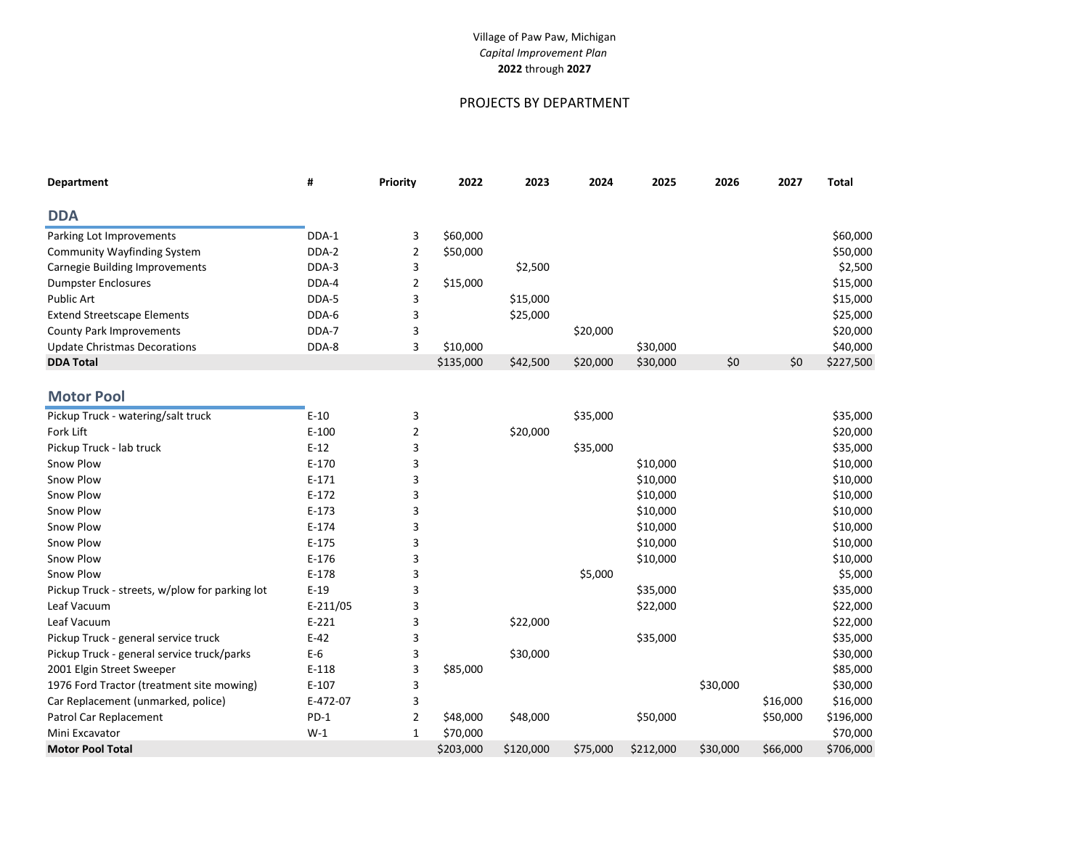# PROJECTS BY DEPARTMENT

| #     | Priority | 2022      | 2023     | 2024     | 2025     | 2026 | 2027 | Total     |
|-------|----------|-----------|----------|----------|----------|------|------|-----------|
|       |          |           |          |          |          |      |      |           |
| DDA-1 | 3        | \$60,000  |          |          |          |      |      | \$60,000  |
| DDA-2 |          | \$50,000  |          |          |          |      |      | \$50,000  |
| DDA-3 | 3        |           | \$2,500  |          |          |      |      | \$2,500   |
| DDA-4 |          | \$15,000  |          |          |          |      |      | \$15,000  |
| DDA-5 |          |           | \$15,000 |          |          |      |      | \$15,000  |
| DDA-6 |          |           | \$25,000 |          |          |      |      | \$25,000  |
| DDA-7 |          |           |          | \$20,000 |          |      |      | \$20,000  |
| DDA-8 |          | \$10,000  |          |          | \$30,000 |      |      | \$40,000  |
|       |          | \$135,000 | \$42,500 | \$20,000 | \$30,000 | \$0  | \$0  | \$227,500 |
|       |          |           |          |          |          |      |      |           |

# **Motor Pool**

| Pickup Truck - watering/salt truck             | $E-10$     | 3 |           |           | \$35,000 |           |          |          | \$35,000  |
|------------------------------------------------|------------|---|-----------|-----------|----------|-----------|----------|----------|-----------|
| Fork Lift                                      | $E-100$    |   |           | \$20,000  |          |           |          |          | \$20,000  |
| Pickup Truck - lab truck                       | $E-12$     |   |           |           | \$35,000 |           |          |          | \$35,000  |
| Snow Plow                                      | $E-170$    | 3 |           |           |          | \$10,000  |          |          | \$10,000  |
| Snow Plow                                      | $E-171$    |   |           |           |          | \$10,000  |          |          | \$10,000  |
| Snow Plow                                      | $E-172$    | 3 |           |           |          | \$10,000  |          |          | \$10,000  |
| Snow Plow                                      | $E-173$    | 3 |           |           |          | \$10,000  |          |          | \$10,000  |
| Snow Plow                                      | $E-174$    |   |           |           |          | \$10,000  |          |          | \$10,000  |
| Snow Plow                                      | $E-175$    | 3 |           |           |          | \$10,000  |          |          | \$10,000  |
| Snow Plow                                      | $E-176$    | 3 |           |           |          | \$10,000  |          |          | \$10,000  |
| Snow Plow                                      | $E-178$    | 3 |           |           | \$5,000  |           |          |          | \$5,000   |
| Pickup Truck - streets, w/plow for parking lot | $E-19$     | 3 |           |           |          | \$35,000  |          |          | \$35,000  |
| Leaf Vacuum                                    | $E-211/05$ |   |           |           |          | \$22,000  |          |          | \$22,000  |
| Leaf Vacuum                                    | $E-221$    |   |           | \$22,000  |          |           |          |          | \$22,000  |
| Pickup Truck - general service truck           | $E-42$     |   |           |           |          | \$35,000  |          |          | \$35,000  |
| Pickup Truck - general service truck/parks     | $E-6$      | 3 |           | \$30,000  |          |           |          |          | \$30,000  |
| 2001 Elgin Street Sweeper                      | $E-118$    | 3 | \$85,000  |           |          |           |          |          | \$85,000  |
| 1976 Ford Tractor (treatment site mowing)      | $E-107$    | 3 |           |           |          |           | \$30,000 |          | \$30,000  |
| Car Replacement (unmarked, police)             | E-472-07   | 3 |           |           |          |           |          | \$16,000 | \$16,000  |
| Patrol Car Replacement                         | $PD-1$     | 2 | \$48,000  | \$48,000  |          | \$50,000  |          | \$50,000 | \$196,000 |
| Mini Excavator                                 | $W-1$      | 1 | \$70,000  |           |          |           |          |          | \$70,000  |
| <b>Motor Pool Total</b>                        |            |   | \$203,000 | \$120,000 | \$75,000 | \$212,000 | \$30,000 | \$66,000 | \$706,000 |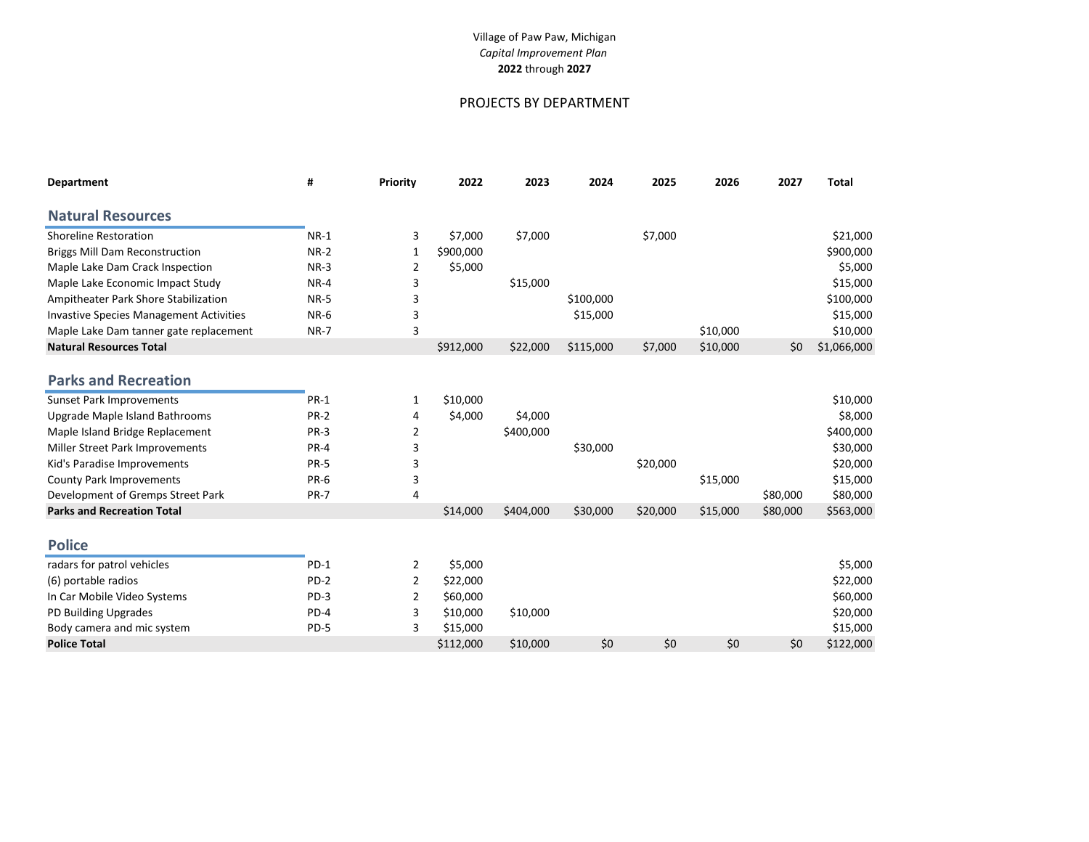# PROJECTS BY DEPARTMENT

| <b>Department</b>                              | #           | Priority | 2022      | 2023      | 2024      | 2025     | 2026     | 2027     | <b>Total</b> |
|------------------------------------------------|-------------|----------|-----------|-----------|-----------|----------|----------|----------|--------------|
| <b>Natural Resources</b>                       |             |          |           |           |           |          |          |          |              |
| <b>Shoreline Restoration</b>                   | $NR-1$      | 3        | \$7,000   | \$7,000   |           | \$7,000  |          |          | \$21,000     |
| <b>Briggs Mill Dam Reconstruction</b>          | $NR-2$      | 1        | \$900,000 |           |           |          |          |          | \$900,000    |
| Maple Lake Dam Crack Inspection                | $NR-3$      | 2        | \$5,000   |           |           |          |          |          | \$5,000      |
| Maple Lake Economic Impact Study               | $NR-4$      | 3        |           | \$15,000  |           |          |          |          | \$15,000     |
| Ampitheater Park Shore Stabilization           | <b>NR-5</b> | 3        |           |           | \$100,000 |          |          |          | \$100,000    |
| <b>Invastive Species Management Activities</b> | <b>NR-6</b> | 3        |           |           | \$15,000  |          |          |          | \$15,000     |
| Maple Lake Dam tanner gate replacement         | <b>NR-7</b> | 3        |           |           |           |          | \$10,000 |          | \$10,000     |
| <b>Natural Resources Total</b>                 |             |          | \$912,000 | \$22,000  | \$115,000 | \$7,000  | \$10,000 | \$0      | \$1,066,000  |
|                                                |             |          |           |           |           |          |          |          |              |
| <b>Parks and Recreation</b>                    |             |          |           |           |           |          |          |          |              |
| <b>Sunset Park Improvements</b>                | <b>PR-1</b> | 1        | \$10,000  |           |           |          |          |          | \$10,000     |
| Upgrade Maple Island Bathrooms                 | <b>PR-2</b> | 4        | \$4,000   | \$4,000   |           |          |          |          | \$8,000      |
| Maple Island Bridge Replacement                | <b>PR-3</b> | 2        |           | \$400,000 |           |          |          |          | \$400,000    |
| Miller Street Park Improvements                | <b>PR-4</b> | 3        |           |           | \$30,000  |          |          |          | \$30,000     |
| Kid's Paradise Improvements                    | <b>PR-5</b> | 3        |           |           |           | \$20,000 |          |          | \$20,000     |
| <b>County Park Improvements</b>                | PR-6        | 3        |           |           |           |          | \$15,000 |          | \$15,000     |
| Development of Gremps Street Park              | <b>PR-7</b> | 4        |           |           |           |          |          | \$80,000 | \$80,000     |
| <b>Parks and Recreation Total</b>              |             |          | \$14,000  | \$404,000 | \$30,000  | \$20,000 | \$15,000 | \$80,000 | \$563,000    |
| <b>Police</b>                                  |             |          |           |           |           |          |          |          |              |
| radars for patrol vehicles                     | $PD-1$      | 2        | \$5,000   |           |           |          |          |          | \$5,000      |
| (6) portable radios                            | PD-2        | 2        | \$22,000  |           |           |          |          |          | \$22,000     |
| In Car Mobile Video Systems                    | $PD-3$      | 2        | \$60,000  |           |           |          |          |          | \$60,000     |
| PD Building Upgrades                           | $PD-4$      | 3        | \$10,000  | \$10,000  |           |          |          |          | \$20,000     |
| Body camera and mic system                     | PD-5        | 3        | \$15,000  |           |           |          |          |          | \$15,000     |
| <b>Police Total</b>                            |             |          | \$112,000 | \$10,000  | \$0       | \$0      | \$0      | \$0      | \$122,000    |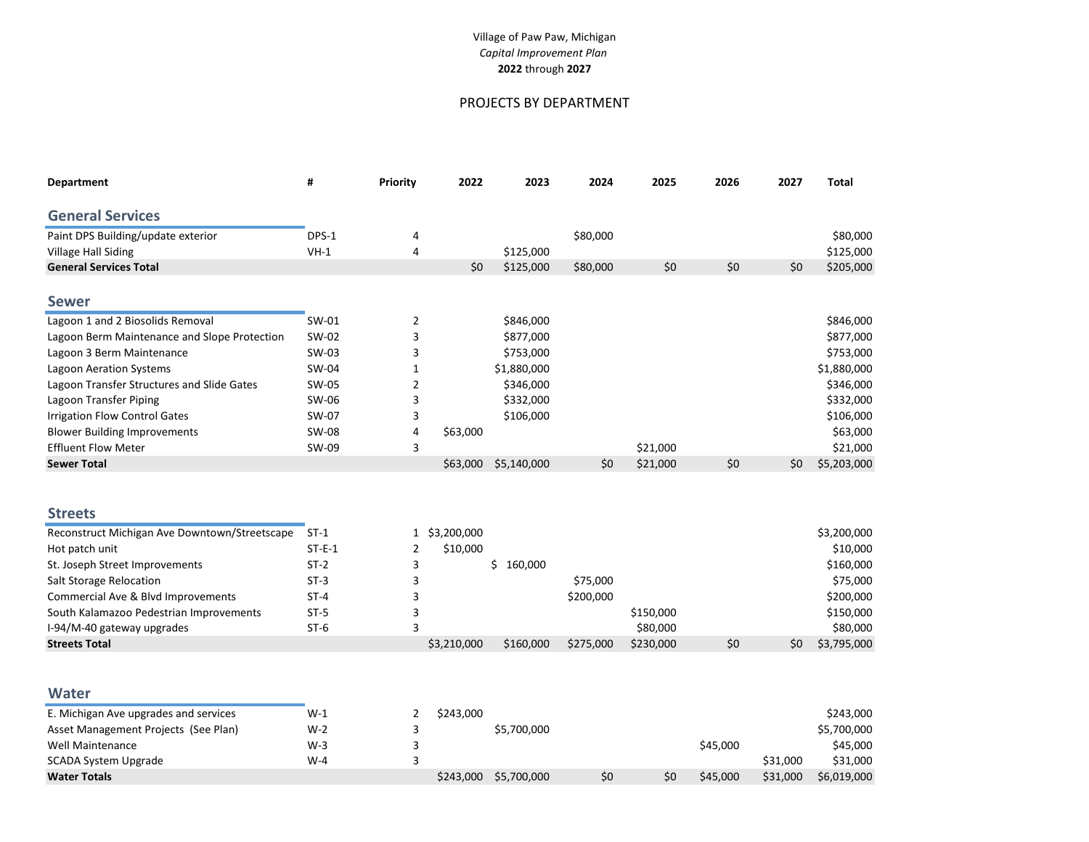# PROJECTS BY DEPARTMENT

| Department                                    | #        | Priority     | 2022        | 2023          | 2024      | 2025      | 2026 | 2027 | <b>Total</b> |
|-----------------------------------------------|----------|--------------|-------------|---------------|-----------|-----------|------|------|--------------|
| <b>General Services</b>                       |          |              |             |               |           |           |      |      |              |
| Paint DPS Building/update exterior            | DPS-1    | 4            |             |               | \$80,000  |           |      |      | \$80,000     |
| Village Hall Siding                           | $VH-1$   | 4            |             | \$125,000     |           |           |      |      | \$125,000    |
| <b>General Services Total</b>                 |          |              | \$0         | \$125,000     | \$80,000  | \$0       | \$0  | \$0  | \$205,000    |
| <b>Sewer</b>                                  |          |              |             |               |           |           |      |      |              |
| Lagoon 1 and 2 Biosolids Removal              | SW-01    | 2            |             | \$846,000     |           |           |      |      | \$846,000    |
| Lagoon Berm Maintenance and Slope Protection  | SW-02    | 3            |             | \$877,000     |           |           |      |      | \$877,000    |
| Lagoon 3 Berm Maintenance                     | SW-03    | 3            |             | \$753,000     |           |           |      |      | \$753,000    |
| <b>Lagoon Aeration Systems</b>                | SW-04    | $\mathbf{1}$ |             | \$1,880,000   |           |           |      |      | \$1,880,000  |
| Lagoon Transfer Structures and Slide Gates    | SW-05    | 2            |             | \$346,000     |           |           |      |      | \$346,000    |
| Lagoon Transfer Piping                        | SW-06    | 3            |             | \$332,000     |           |           |      |      | \$332,000    |
| <b>Irrigation Flow Control Gates</b>          | SW-07    | 3            |             | \$106,000     |           |           |      |      | \$106,000    |
| <b>Blower Building Improvements</b>           | SW-08    | 4            | \$63,000    |               |           |           |      |      | \$63,000     |
| <b>Effluent Flow Meter</b>                    | SW-09    | 3            |             |               |           | \$21,000  |      |      | \$21,000     |
| <b>Sewer Total</b>                            |          |              | \$63,000    | \$5,140,000   | \$0       | \$21,000  | \$0  | \$0  | \$5,203,000  |
|                                               |          |              |             |               |           |           |      |      |              |
| <b>Streets</b>                                |          |              |             |               |           |           |      |      |              |
| Reconstruct Michigan Ave Downtown/Streetscape | $ST-1$   | $\mathbf{1}$ | \$3,200,000 |               |           |           |      |      | \$3,200,000  |
| Hot patch unit                                | $ST-E-1$ | 2            | \$10,000    |               |           |           |      |      | \$10,000     |
| St. Joseph Street Improvements                | $ST-2$   | 3            |             | \$<br>160,000 |           |           |      |      | \$160,000    |
| Salt Storage Relocation                       | $ST-3$   | 3            |             |               | \$75,000  |           |      |      | \$75,000     |
| Commercial Ave & Blvd Improvements            | $ST-4$   | 3            |             |               | \$200,000 |           |      |      | \$200,000    |
| South Kalamazoo Pedestrian Improvements       | $ST-5$   | 3            |             |               |           | \$150,000 |      |      | \$150,000    |
| I-94/M-40 gateway upgrades                    | $ST-6$   | 3            |             |               |           | \$80,000  |      |      | \$80,000     |
| <b>Streets Total</b>                          |          |              | \$3,210,000 | \$160,000     | \$275,000 | \$230,000 | \$0  | \$0  | \$3,795,000  |
|                                               |          |              |             |               |           |           |      |      |              |
| <b>Water</b>                                  |          |              |             |               |           |           |      |      |              |
| E. Michigan Ave upgrades and services         | $W-1$    | 2            | \$243,000   |               |           |           |      |      | \$243,000    |

| Asset Management Projects (See Plan) | $W-2$ | \$5,700,000           |     |     |          |          | \$5,700,000 |
|--------------------------------------|-------|-----------------------|-----|-----|----------|----------|-------------|
| Well Maintenance                     | W-3   |                       |     |     | \$45.000 |          | \$45,000    |
| SCADA System Upgrade                 | W-4   |                       |     |     |          | \$31.000 | \$31,000    |
| Water Totals                         |       | \$243,000 \$5,700,000 | \$0 | \$0 | \$45,000 | \$31,000 | \$6,019,000 |